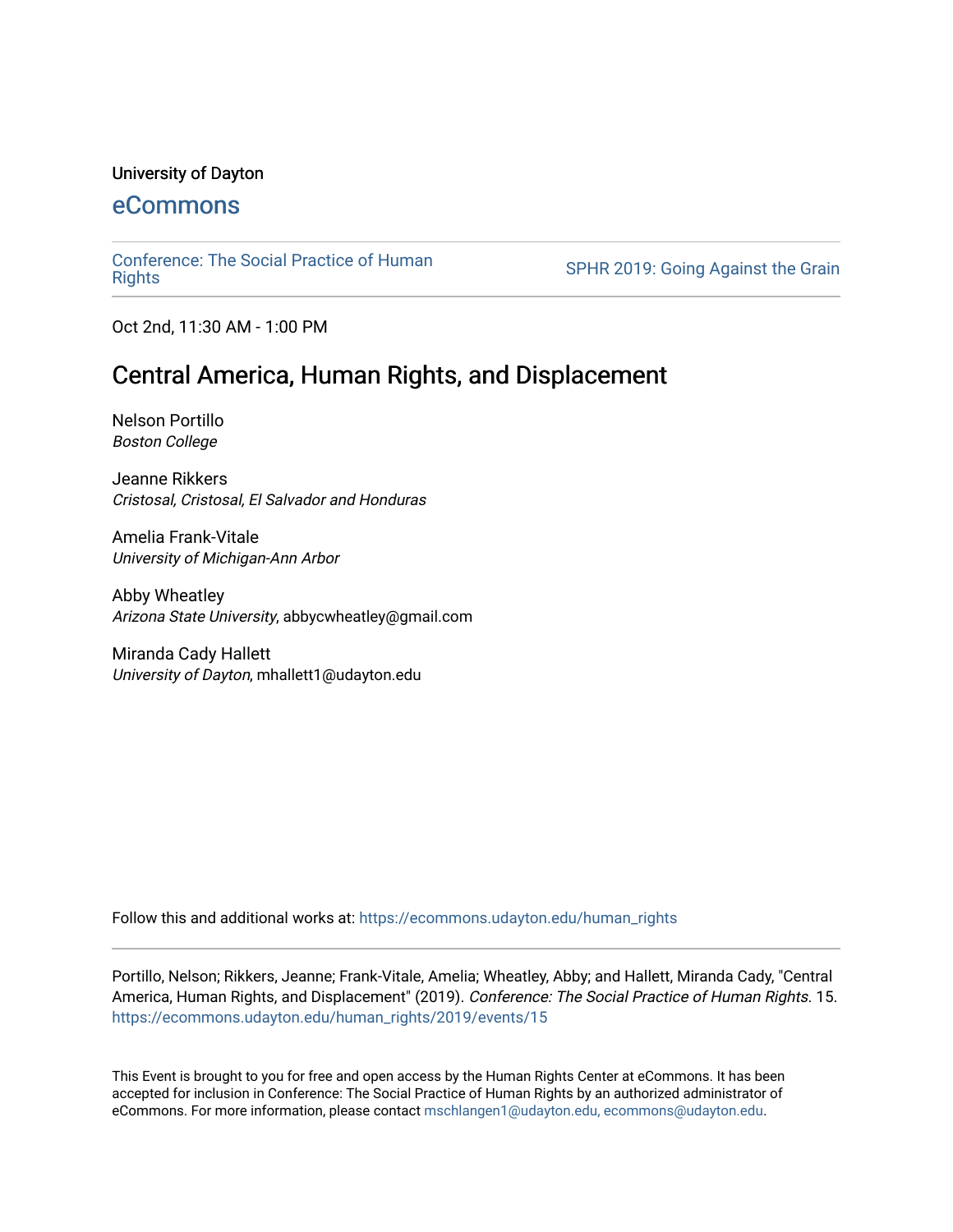#### University of Dayton

### [eCommons](https://ecommons.udayton.edu/)

[Conference: The Social Practice of Human](https://ecommons.udayton.edu/human_rights)

SPHR 2019: Going Against the Grain

Oct 2nd, 11:30 AM - 1:00 PM

## Central America, Human Rights, and Displacement

Nelson Portillo Boston College

Jeanne Rikkers Cristosal, Cristosal, El Salvador and Honduras

Amelia Frank-Vitale University of Michigan-Ann Arbor

Abby Wheatley Arizona State University, abbycwheatley@gmail.com

Miranda Cady Hallett University of Dayton, mhallett1@udayton.edu

Follow this and additional works at: [https://ecommons.udayton.edu/human\\_rights](https://ecommons.udayton.edu/human_rights?utm_source=ecommons.udayton.edu%2Fhuman_rights%2F2019%2Fevents%2F15&utm_medium=PDF&utm_campaign=PDFCoverPages)

Portillo, Nelson; Rikkers, Jeanne; Frank-Vitale, Amelia; Wheatley, Abby; and Hallett, Miranda Cady, "Central America, Human Rights, and Displacement" (2019). Conference: The Social Practice of Human Rights. 15. [https://ecommons.udayton.edu/human\\_rights/2019/events/15](https://ecommons.udayton.edu/human_rights/2019/events/15?utm_source=ecommons.udayton.edu%2Fhuman_rights%2F2019%2Fevents%2F15&utm_medium=PDF&utm_campaign=PDFCoverPages) 

This Event is brought to you for free and open access by the Human Rights Center at eCommons. It has been accepted for inclusion in Conference: The Social Practice of Human Rights by an authorized administrator of eCommons. For more information, please contact [mschlangen1@udayton.edu, ecommons@udayton.edu.](mailto:mschlangen1@udayton.edu,%20ecommons@udayton.edu)